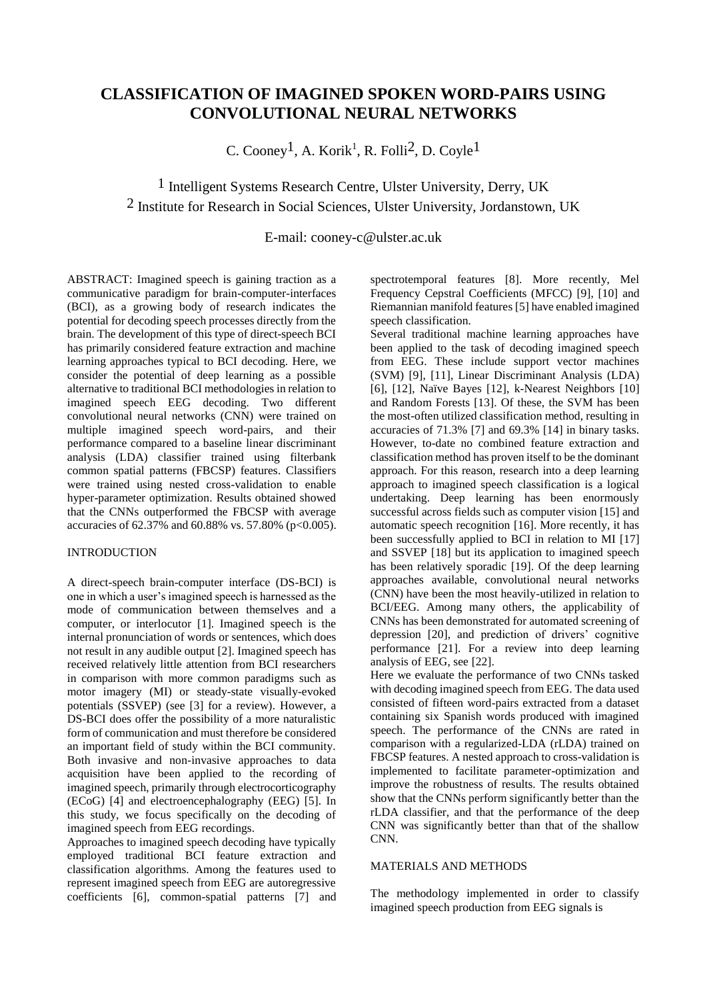# **CLASSIFICATION OF IMAGINED SPOKEN WORD-PAIRS USING CONVOLUTIONAL NEURAL NETWORKS**

C. Cooney<sup>1</sup>, A. Korik<sup>1</sup>, R. Folli<sup>2</sup>, D. Coyle<sup>1</sup>

# 1 Intelligent Systems Research Centre, Ulster University, Derry, UK 2 Institute for Research in Social Sciences, Ulster University, Jordanstown, UK

# E-mail: cooney-c@ulster.ac.uk

ABSTRACT: Imagined speech is gaining traction as a communicative paradigm for brain-computer-interfaces (BCI), as a growing body of research indicates the potential for decoding speech processes directly from the brain. The development of this type of direct-speech BCI has primarily considered feature extraction and machine learning approaches typical to BCI decoding. Here, we consider the potential of deep learning as a possible alternative to traditional BCI methodologies in relation to imagined speech EEG decoding. Two different convolutional neural networks (CNN) were trained on multiple imagined speech word-pairs, and their performance compared to a baseline linear discriminant analysis (LDA) classifier trained using filterbank common spatial patterns (FBCSP) features. Classifiers were trained using nested cross-validation to enable hyper-parameter optimization. Results obtained showed that the CNNs outperformed the FBCSP with average accuracies of 62.37% and 60.88% vs. 57.80% (p<0.005).

## INTRODUCTION

A direct-speech brain-computer interface (DS-BCI) is one in which a user's imagined speech is harnessed as the mode of communication between themselves and a computer, or interlocutor [1]. Imagined speech is the internal pronunciation of words or sentences, which does not result in any audible output [2]. Imagined speech has received relatively little attention from BCI researchers in comparison with more common paradigms such as motor imagery (MI) or steady-state visually-evoked potentials (SSVEP) (see [3] for a review). However, a DS-BCI does offer the possibility of a more naturalistic form of communication and must therefore be considered an important field of study within the BCI community. Both invasive and non-invasive approaches to data acquisition have been applied to the recording of imagined speech, primarily through electrocorticography (ECoG) [4] and electroencephalography (EEG) [5]. In this study, we focus specifically on the decoding of imagined speech from EEG recordings.

Approaches to imagined speech decoding have typically employed traditional BCI feature extraction and classification algorithms. Among the features used to represent imagined speech from EEG are autoregressive coefficients [6], common-spatial patterns [7] and spectrotemporal features [8]. More recently, Mel Frequency Cepstral Coefficients (MFCC) [9], [10] and Riemannian manifold features [5] have enabled imagined speech classification.

Several traditional machine learning approaches have been applied to the task of decoding imagined speech from EEG. These include support vector machines (SVM) [9], [11], Linear Discriminant Analysis (LDA) [6], [12], Naïve Bayes [12], k-Nearest Neighbors [10] and Random Forests [13]. Of these, the SVM has been the most-often utilized classification method, resulting in accuracies of 71.3% [7] and 69.3% [14] in binary tasks. However, to-date no combined feature extraction and classification method has proven itself to be the dominant approach. For this reason, research into a deep learning approach to imagined speech classification is a logical undertaking. Deep learning has been enormously successful across fields such as computer vision [15] and automatic speech recognition [16]. More recently, it has been successfully applied to BCI in relation to MI [17] and SSVEP [18] but its application to imagined speech has been relatively sporadic [19]. Of the deep learning approaches available, convolutional neural networks (CNN) have been the most heavily-utilized in relation to BCI/EEG. Among many others, the applicability of CNNs has been demonstrated for automated screening of depression [20], and prediction of drivers' cognitive performance [21]. For a review into deep learning analysis of EEG, see [22].

Here we evaluate the performance of two CNNs tasked with decoding imagined speech from EEG. The data used consisted of fifteen word-pairs extracted from a dataset containing six Spanish words produced with imagined speech. The performance of the CNNs are rated in comparison with a regularized-LDA (rLDA) trained on FBCSP features. A nested approach to cross-validation is implemented to facilitate parameter-optimization and improve the robustness of results. The results obtained show that the CNNs perform significantly better than the rLDA classifier, and that the performance of the deep CNN was significantly better than that of the shallow CNN.

## MATERIALS AND METHODS

The methodology implemented in order to classify imagined speech production from EEG signals is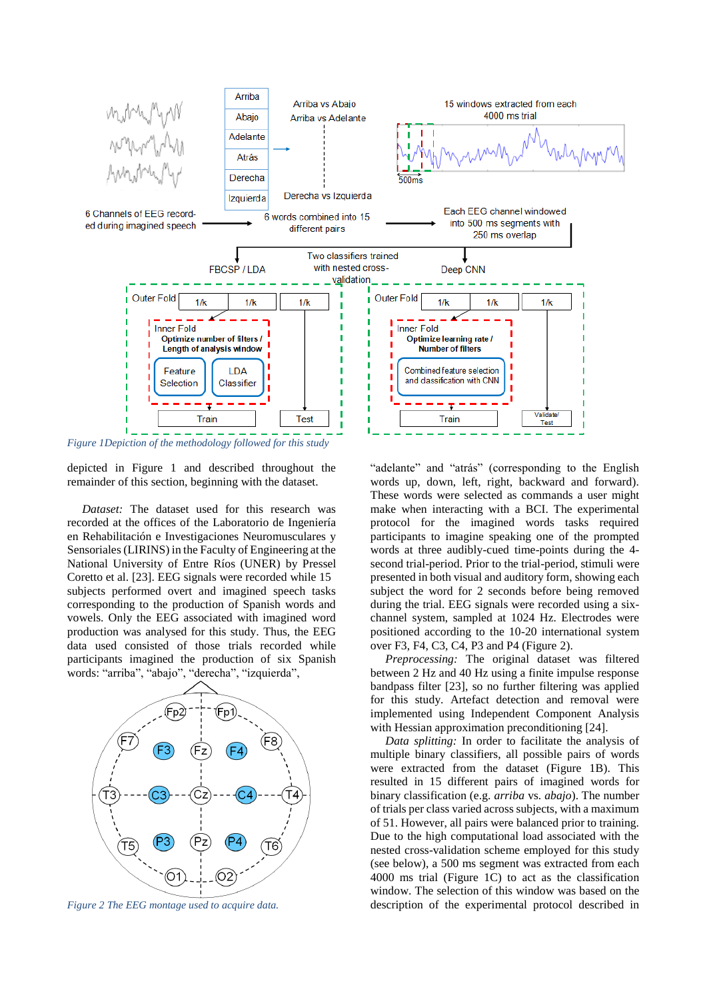

*Figure 1Depiction of the methodology followed for this study*

depicted in Figure 1 and described throughout the remainder of this section, beginning with the dataset.

 *Dataset:* The dataset used for this research was recorded at the offices of the Laboratorio de Ingeniería en Rehabilitación e Investigaciones Neuromusculares y Sensoriales (LIRINS) in the Faculty of Engineering at the National University of Entre Ríos (UNER) by Pressel Coretto et al. [23]. EEG signals were recorded while 15 subjects performed overt and imagined speech tasks corresponding to the production of Spanish words and vowels. Only the EEG associated with imagined word production was analysed for this study. Thus, the EEG data used consisted of those trials recorded while participants imagined the production of six Spanish words: "arriba", "abajo", "derecha", "izquierda",



*Figure 2 The EEG montage used to acquire data.*

"adelante" and "atrás" (corresponding to the English words up, down, left, right, backward and forward). These words were selected as commands a user might make when interacting with a BCI. The experimental protocol for the imagined words tasks required participants to imagine speaking one of the prompted words at three audibly-cued time-points during the 4 second trial-period. Prior to the trial-period, stimuli were presented in both visual and auditory form, showing each subject the word for 2 seconds before being removed during the trial. EEG signals were recorded using a sixchannel system, sampled at 1024 Hz. Electrodes were positioned according to the 10-20 international system over F3, F4, C3, C4, P3 and P4 (Figure 2).

 *Preprocessing:* The original dataset was filtered between 2 Hz and 40 Hz using a finite impulse response bandpass filter [23], so no further filtering was applied for this study. Artefact detection and removal were implemented using Independent Component Analysis with Hessian approximation preconditioning [24].

 *Data splitting:* In order to facilitate the analysis of multiple binary classifiers, all possible pairs of words were extracted from the dataset (Figure 1B). This resulted in 15 different pairs of imagined words for binary classification (e.g. *arriba* vs. *abajo*). The number of trials per class varied across subjects, with a maximum of 51. However, all pairs were balanced prior to training. Due to the high computational load associated with the nested cross-validation scheme employed for this study (see below), a 500 ms segment was extracted from each 4000 ms trial (Figure 1C) to act as the classification window. The selection of this window was based on the description of the experimental protocol described in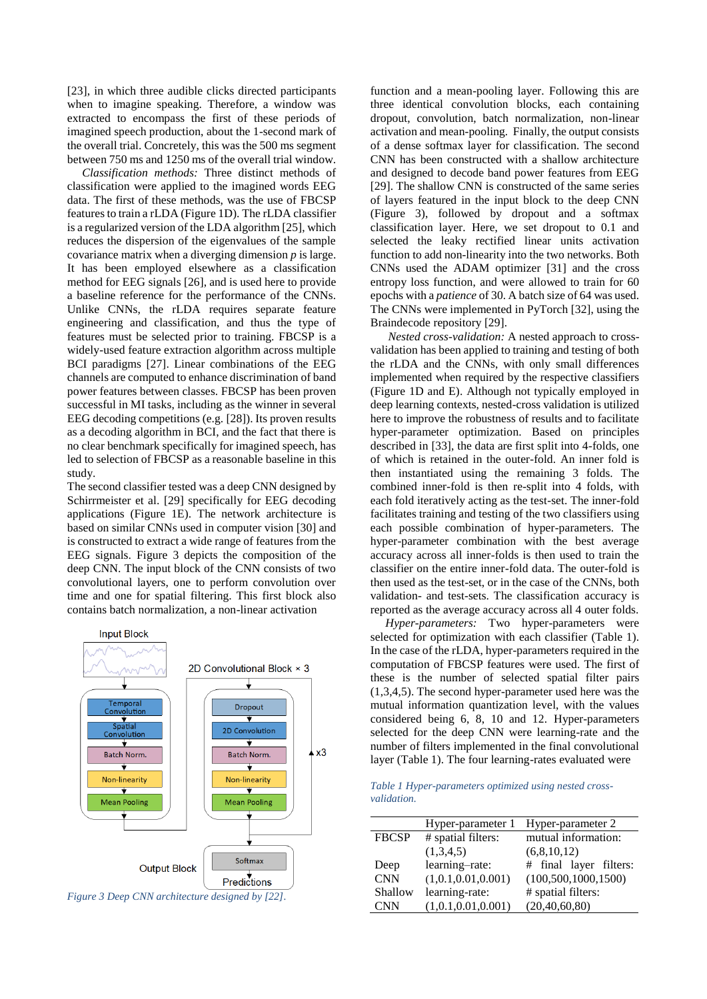[23], in which three audible clicks directed participants when to imagine speaking. Therefore, a window was extracted to encompass the first of these periods of imagined speech production, about the 1-second mark of the overall trial. Concretely, this was the 500 ms segment between 750 ms and 1250 ms of the overall trial window.

 *Classification methods:* Three distinct methods of classification were applied to the imagined words EEG data. The first of these methods, was the use of FBCSP features to train a rLDA (Figure 1D). The rLDA classifier is a regularized version of the LDA algorithm [25], which reduces the dispersion of the eigenvalues of the sample covariance matrix when a diverging dimension *p* is large. It has been employed elsewhere as a classification method for EEG signals [26], and is used here to provide a baseline reference for the performance of the CNNs. Unlike CNNs, the rLDA requires separate feature engineering and classification, and thus the type of features must be selected prior to training. FBCSP is a widely-used feature extraction algorithm across multiple BCI paradigms [27]. Linear combinations of the EEG channels are computed to enhance discrimination of band power features between classes. FBCSP has been proven successful in MI tasks, including as the winner in several EEG decoding competitions (e.g. [28]). Its proven results as a decoding algorithm in BCI, and the fact that there is no clear benchmark specifically for imagined speech, has led to selection of FBCSP as a reasonable baseline in this study.

The second classifier tested was a deep CNN designed by Schirrmeister et al. [29] specifically for EEG decoding applications (Figure 1E). The network architecture is based on similar CNNs used in computer vision [30] and is constructed to extract a wide range of features from the EEG signals. Figure 3 depicts the composition of the deep CNN. The input block of the CNN consists of two convolutional layers, one to perform convolution over time and one for spatial filtering. This first block also contains batch normalization, a non-linear activation



function and a mean-pooling layer. Following this are three identical convolution blocks, each containing dropout, convolution, batch normalization, non-linear activation and mean-pooling. Finally, the output consists of a dense softmax layer for classification. The second CNN has been constructed with a shallow architecture and designed to decode band power features from EEG [29]. The shallow CNN is constructed of the same series of layers featured in the input block to the deep CNN (Figure 3), followed by dropout and a softmax classification layer. Here, we set dropout to 0.1 and selected the leaky rectified linear units activation function to add non-linearity into the two networks. Both CNNs used the ADAM optimizer [31] and the cross entropy loss function, and were allowed to train for 60 epochs with a *patience* of 30. A batch size of 64 was used. The CNNs were implemented in PyTorch [32], using the

Braindecode repository [29]. *Nested cross-validation:* A nested approach to crossvalidation has been applied to training and testing of both the rLDA and the CNNs, with only small differences implemented when required by the respective classifiers (Figure 1D and E). Although not typically employed in deep learning contexts, nested-cross validation is utilized here to improve the robustness of results and to facilitate hyper-parameter optimization. Based on principles described in [33], the data are first split into 4-folds, one of which is retained in the outer-fold. An inner fold is then instantiated using the remaining 3 folds. The combined inner-fold is then re-split into 4 folds, with each fold iteratively acting as the test-set. The inner-fold facilitates training and testing of the two classifiers using each possible combination of hyper-parameters. The hyper-parameter combination with the best average accuracy across all inner-folds is then used to train the classifier on the entire inner-fold data. The outer-fold is then used as the test-set, or in the case of the CNNs, both validation- and test-sets. The classification accuracy is reported as the average accuracy across all 4 outer folds.

 *Hyper-parameters:* Two hyper-parameters were selected for optimization with each classifier (Table 1). In the case of the rLDA, hyper-parameters required in the computation of FBCSP features were used. The first of these is the number of selected spatial filter pairs (1,3,4,5). The second hyper-parameter used here was the mutual information quantization level, with the values considered being 6, 8, 10 and 12. Hyper-parameters selected for the deep CNN were learning-rate and the number of filters implemented in the final convolutional layer (Table 1). The four learning-rates evaluated were

| Table 1 Hyper-parameters optimized using nested cross- |  |  |
|--------------------------------------------------------|--|--|
| <i>validation.</i>                                     |  |  |

|              | Hyper-parameter 1  | Hyper-parameter 2      |
|--------------|--------------------|------------------------|
| <b>FBCSP</b> | # spatial filters: | mutual information:    |
|              | (1,3,4,5)          | (6,8,10,12)            |
| Deep         | learning-rate:     | # final layer filters: |
| <b>CNN</b>   | (1,0.1,0.01,0.001) | (100, 500, 1000, 1500) |
| Shallow      | learning-rate:     | # spatial filters:     |
| <b>CNN</b>   | (1,0.1,0.01,0.001) | (20, 40, 60, 80)       |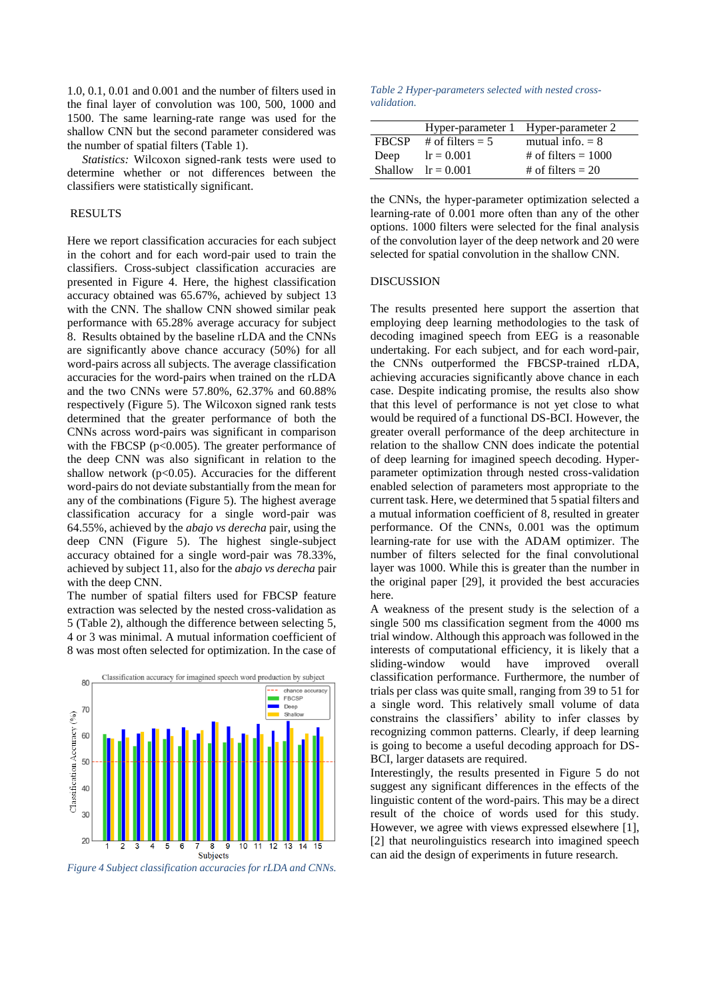1.0, 0.1, 0.01 and 0.001 and the number of filters used in the final layer of convolution was 100, 500, 1000 and 1500. The same learning-rate range was used for the shallow CNN but the second parameter considered was the number of spatial filters (Table 1).

 *Statistics:* Wilcoxon signed-rank tests were used to determine whether or not differences between the classifiers were statistically significant.

### RESULTS

Here we report classification accuracies for each subject in the cohort and for each word-pair used to train the classifiers. Cross-subject classification accuracies are presented in Figure 4. Here, the highest classification accuracy obtained was 65.67%, achieved by subject 13 with the CNN. The shallow CNN showed similar peak performance with 65.28% average accuracy for subject 8. Results obtained by the baseline rLDA and the CNNs are significantly above chance accuracy (50%) for all word-pairs across all subjects. The average classification accuracies for the word-pairs when trained on the rLDA and the two CNNs were 57.80%, 62.37% and 60.88% respectively (Figure 5). The Wilcoxon signed rank tests determined that the greater performance of both the CNNs across word-pairs was significant in comparison with the FBCSP ( $p<0.005$ ). The greater performance of the deep CNN was also significant in relation to the shallow network  $(p<0.05)$ . Accuracies for the different word-pairs do not deviate substantially from the mean for any of the combinations (Figure 5). The highest average classification accuracy for a single word-pair was 64.55%, achieved by the *abajo vs derecha* pair, using the deep CNN (Figure 5). The highest single-subject accuracy obtained for a single word-pair was 78.33%, achieved by subject 11, also for the *abajo vs derecha* pair with the deep CNN.

The number of spatial filters used for FBCSP feature extraction was selected by the nested cross-validation as 5 (Table 2), although the difference between selecting 5, 4 or 3 was minimal. A mutual information coefficient of 8 was most often selected for optimization. In the case of



*Figure 4 Subject classification accuracies for rLDA and CNNs.*

#### *Table 2 Hyper-parameters selected with nested crossvalidation.*

|              |                      | Hyper-parameter 1 Hyper-parameter 2 |
|--------------|----------------------|-------------------------------------|
| <b>FRCSP</b> | # of filters $= 5$   | mutual info. $= 8$                  |
| Deep         | $lr = 0.001$         | # of filters $= 1000$               |
|              | Shallow $lr = 0.001$ | # of filters $= 20$                 |

the CNNs, the hyper-parameter optimization selected a learning-rate of 0.001 more often than any of the other options. 1000 filters were selected for the final analysis of the convolution layer of the deep network and 20 were selected for spatial convolution in the shallow CNN.

### DISCUSSION

The results presented here support the assertion that employing deep learning methodologies to the task of decoding imagined speech from EEG is a reasonable undertaking. For each subject, and for each word-pair, the CNNs outperformed the FBCSP-trained rLDA, achieving accuracies significantly above chance in each case. Despite indicating promise, the results also show that this level of performance is not yet close to what would be required of a functional DS-BCI. However, the greater overall performance of the deep architecture in relation to the shallow CNN does indicate the potential of deep learning for imagined speech decoding. Hyperparameter optimization through nested cross-validation enabled selection of parameters most appropriate to the current task. Here, we determined that 5 spatial filters and a mutual information coefficient of 8, resulted in greater performance. Of the CNNs, 0.001 was the optimum learning-rate for use with the ADAM optimizer. The number of filters selected for the final convolutional layer was 1000. While this is greater than the number in the original paper [29], it provided the best accuracies here.

A weakness of the present study is the selection of a single 500 ms classification segment from the 4000 ms trial window. Although this approach was followed in the interests of computational efficiency, it is likely that a sliding-window would have improved overall classification performance. Furthermore, the number of trials per class was quite small, ranging from 39 to 51 for a single word. This relatively small volume of data constrains the classifiers' ability to infer classes by recognizing common patterns. Clearly, if deep learning is going to become a useful decoding approach for DS-BCI, larger datasets are required.

Interestingly, the results presented in Figure 5 do not suggest any significant differences in the effects of the linguistic content of the word-pairs. This may be a direct result of the choice of words used for this study. However, we agree with views expressed elsewhere [1], [2] that neurolinguistics research into imagined speech can aid the design of experiments in future research.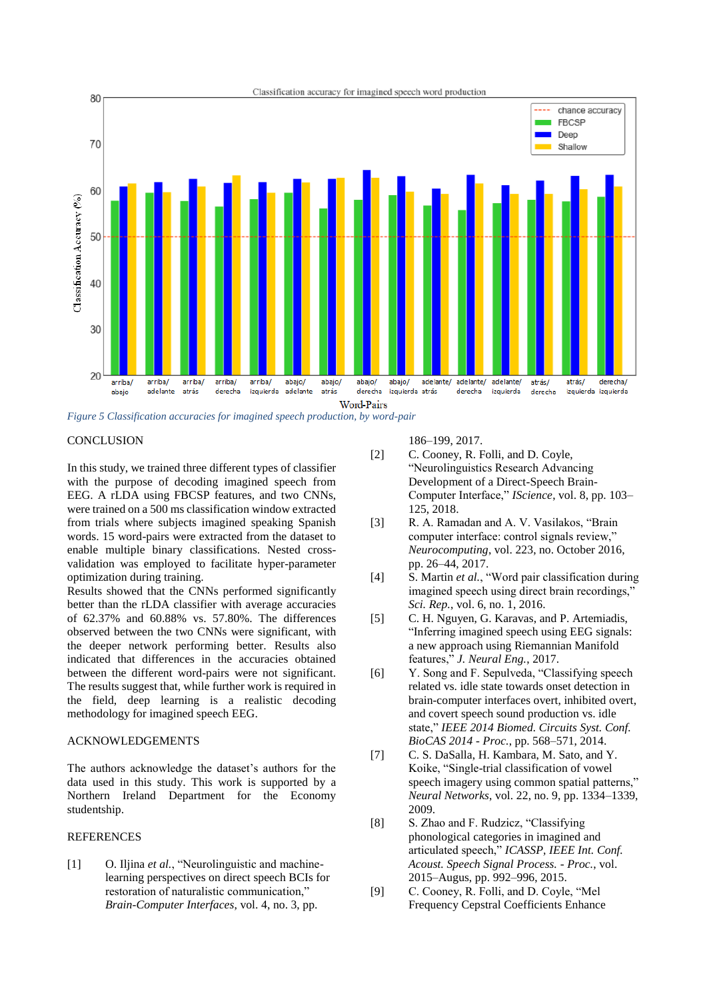

*Figure 5 Classification accuracies for imagined speech production, by word-pair*

## **CONCLUSION**

In this study, we trained three different types of classifier with the purpose of decoding imagined speech from EEG. A rLDA using FBCSP features, and two CNNs, were trained on a 500 ms classification window extracted from trials where subjects imagined speaking Spanish words. 15 word-pairs were extracted from the dataset to enable multiple binary classifications. Nested crossvalidation was employed to facilitate hyper-parameter optimization during training.

Results showed that the CNNs performed significantly better than the rLDA classifier with average accuracies of 62.37% and 60.88% vs. 57.80%. The differences observed between the two CNNs were significant, with the deeper network performing better. Results also indicated that differences in the accuracies obtained between the different word-pairs were not significant. The results suggest that, while further work is required in the field, deep learning is a realistic decoding methodology for imagined speech EEG.

## ACKNOWLEDGEMENTS

The authors acknowledge the dataset's authors for the data used in this study. This work is supported by a Northern Ireland Department for the Economy studentship.

# **REFERENCES**

[1] O. Iljina *et al.*, "Neurolinguistic and machinelearning perspectives on direct speech BCIs for restoration of naturalistic communication," *Brain-Computer Interfaces*, vol. 4, no. 3, pp.

186–199, 2017.

- [2] C. Cooney, R. Folli, and D. Coyle, "Neurolinguistics Research Advancing Development of a Direct-Speech Brain-Computer Interface," *IScience*, vol. 8, pp. 103– 125, 2018.
- [3] R. A. Ramadan and A. V. Vasilakos, "Brain computer interface: control signals review," *Neurocomputing*, vol. 223, no. October 2016, pp. 26–44, 2017.
- [4] S. Martin *et al.*, "Word pair classification during imagined speech using direct brain recordings," *Sci. Rep.*, vol. 6, no. 1, 2016.
- [5] C. H. Nguyen, G. Karavas, and P. Artemiadis, "Inferring imagined speech using EEG signals: a new approach using Riemannian Manifold features," *J. Neural Eng.*, 2017.
- [6] Y. Song and F. Sepulveda, "Classifying speech related vs. idle state towards onset detection in brain-computer interfaces overt, inhibited overt, and covert speech sound production vs. idle state," *IEEE 2014 Biomed. Circuits Syst. Conf. BioCAS 2014 - Proc.*, pp. 568–571, 2014.
- [7] C. S. DaSalla, H. Kambara, M. Sato, and Y. Koike, "Single-trial classification of vowel speech imagery using common spatial patterns," *Neural Networks*, vol. 22, no. 9, pp. 1334–1339, 2009.
- [8] S. Zhao and F. Rudzicz, "Classifying phonological categories in imagined and articulated speech," *ICASSP, IEEE Int. Conf. Acoust. Speech Signal Process. - Proc.*, vol. 2015–Augus, pp. 992–996, 2015.
- [9] C. Cooney, R. Folli, and D. Coyle, "Mel Frequency Cepstral Coefficients Enhance